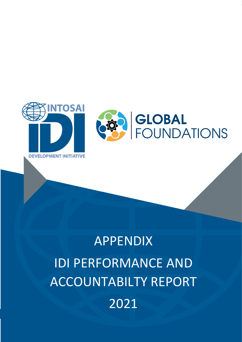

# APPENDIX IDI PERFORMANCE AND ACCOUNTABILTY REPORT 2021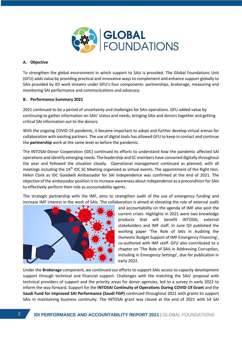

## **A. Objective**

To strengthen the global environment in which support to SAIs is provided. The Global Foundations Unit (GFU) adds value by providing practical and innovative ways to complement and enhance support globally to SAIs provided by IDI work streams under GFU's four components: partnerships, brokerage, measuring and monitoring SAI performance and communications and advocacy.

#### **B. Performance Summary 2021**

2021 continued to be a period of uncertainty and challenges for SAIs operations. GFU added value by continuing to gather information on SAIs' status and needs, bringing SAIs and donors together and getting critical SAI information out to the donors.

With the ongoing COVID-19 pandemic, it became important to adopt and further develop virtual arenas for collaboration with existing partners. The use of digital tools has allowed GFU to keep in contact and continue the **partnership** work at the same level as before the pandemic.

The INTOSAI-Donor Cooperation (IDC) continued its efforts to understand how the pandemic affected SAI operations and identify emerging needs. The leadership and SC members have convened digitally throughout the year and followed the situation closely. Operational management continued as planned, with all meetings including the 14<sup>th</sup> IDC SC Meeting organised as virtual events. The appointment of the Right Hon. Helen Clark as IDC Goodwill Ambassador for SAI Independence was confirmed at the end of 2021. The objective of the ambassador position is to increase awareness about independence as a precondition for SAIs to effectively perform their role as accountability agents.

The strategic partnership with the IMF, aims to strengthen audit of the use of emergency funding and increase IMF interest in the work of SAIs. The collaboration is aimed at elevating the role of external audit



and accountability on the agenda of IMF also post the current crises. Highlights in 2021 were two knowledge products that will benefit INTOSAI, external stakeholders and IMF staff. In June IDI published the working paper 'The Role of SAIs in Auditing the Domestic Budget Support of IMF Emergency Financing', co-authored with IMF staff. GFU also contributed to a chapter on 'The Role of SAIs in Addressing Corruption, Including in Emergency Settings', due for publication in early 2022.

Under the **Brokerage** component, we continued our efforts to support SAIs access to capacity development support through technical and financial support. Challenges with the matching the SAIs' proposal with technical providers of support and the priority areas for donor agencies, led to a survey in early 2022 to inform the way forward. Support for the **INTOSAI Continuity of Operations During COVID-19 Grant** and the **Saudi Fund for Improved SAI Performance (Saudi FISP)** continued throughout 2021 with grants to support SAIs in maintaining business continuity. The INTOSAI grant was closed at the end of 2021 with 54 SAI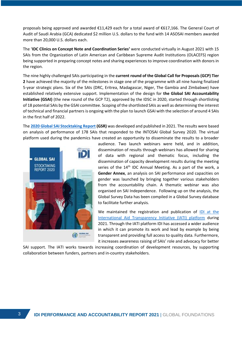proposals being approved and awarded €11,429 each for a total award of €617,166. The General Court of Audit of Saudi Arabia (GCA) dedicated \$2 million U.S. dollars to the fund with 14 ASOSAI members awarded more than 20,000 U.S. dollars each.

The '**IDC Clinics on Concept Note and Coordination Series'** were conducted virtually in August 2021 with 15 SAIs from the Organization of Latin American and Caribbean Supreme Audit Institutions (OLACEFS) region being supported in preparing concept notes and sharing experiences to improve coordination with donors in the region.

The nine highly challenged SAIs participating in the **current round of the Global Call for Proposals (GCP) Tier 2** have achieved the majority of the milestones in stage one of the programme with all nine having finalized 5-year strategic plans. Six of the SAIs (DRC, Eritrea, Madagascar, Niger, The Gambia and Zimbabwe) have established relatively extensive support. Implementation of the design for **the Global SAI Accountability Initiative (GSAI)** (the new round of the GCP T2), approved by the IDSC in 2020, started through shortlisting of 18 potential SAIs by the GSAI committee. Scoping of the shortlisted SAIs as well as determining the interest of technical and financial partners is ongoing with the plan to launch GSAI with the selection of around 4 SAIs in the first half of 2022.

The **[2020 Global SAI Stocktaking Report](https://idi.no/our-resources/global-stocktaking-reports) (GSR)** was developed and published in 2021. The results were based on analysis of performance of 178 SAIs that responded to the INTOSAI Global Survey 2020. The virtual platform used during the pandemics have created an opportunity to disseminate the results to a broader



audience. Two launch webinars were held, and in addition, dissemination of results through webinars has allowed for sharing of data with regional and thematic focus, including the dissemination of capacity development results during the meeting series of the 14<sup>th</sup> IDC Annual Meeting. As a part of the work, a **Gender Annex**, an analysis on SAI performance and capacities on gender was launched by bringing together various stakeholders from the accountability chain. A thematic webinar was also organised on SAI Independence. Following up on the analysis, the Global Survey Data has been compiled in a Global Survey database to facilitate further analysis.

We maintained the registration and publication of [IDI at the](http://d-portal.org/ctrack.html?text_search=idi&reporting_ref=NO-BRC-980997278#view=main)  [International Aid Transparency Initiative \(IATI\) platform](http://d-portal.org/ctrack.html?text_search=idi&reporting_ref=NO-BRC-980997278#view=main) during 2021. Through the IATI platform IDI has accessed a wider audience in which it can promote its work and lead by example by being transparent and providing full access to quality data. Furthermore, it increases awareness raising of SAIs' role and advocacy for better

SAI support. The IATI works towards increasing coordination of development resources, by supporting collaboration between funders, partners and in-country stakeholders.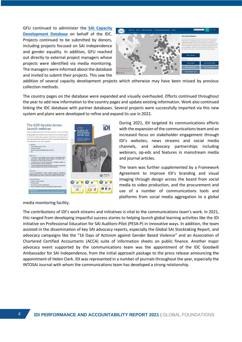GFU continued to administer the **[SAI Capacity](https://intosaidonor.org/sai-capacity-database/)  [Development Database](https://intosaidonor.org/sai-capacity-database/)** on behalf of the IDC. Projects continued to be submitted by donors, including projects focused on SAI independence and gender equality. In addition, GFU reached out directly to external project managers whose projects were identified via media monitoring. The managers were informed about the database and invited to submit their projects. This saw the



addition of several capacity development projects which otherwise may have been missed by previous collection methods.

The country pages on the database were expanded and visually overhauled. Efforts continued throughout the year to add new information to the country pages and update existing information. Work also continued linking the IDC database with partner databases. Several projects were successfully imported via this new system and plans were developed to refine and expand its use in 2022.



During 2021, IDI targeted its communications efforts with the expansion of the communications team and an increased focus on stakeholder engagement through IDI's websites, news streams and social media channels, and advocacy partnerships including webinars, op-eds and features in mainstream media and journal articles.

The team was further supplemented by a Framework Agreement to improve IDI's branding and visual imaging through design across the board from social media to video production, and the procurement and use of a number of communications tools and platforms from social media aggregation to a global

media monitoring facility.

The contributions of IDI's work streams and initiatives is vital to the communications team's work. In 2021, this ranged from developing impactful success stories to helping launch global learning activities like the IDI initiative on Professional Education for SAI Auditors-Pilot (PESA-P) in innovative ways. In addition, the team assisted in the dissemination of key SAI advocacy reports, especially the Global SAI Stocktaking Report, and advocacy campaigns like the "16 Days of Activism against Gender Based Violence" and an Association of Chartered Certified Accountants (ACCA) suite of information sheets on public finance. Another major advocacy event supported by the communications team was the appointment of the IDC Goodwill Ambassador for SAI Independence, from the initial approach package to the press release announcing the appointment of Helen Clark. IDI was represented in a number of journals throughout the year, especially the INTOSAI Journal with whom the communications team has developed a strong relationship.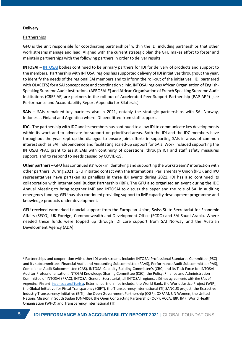## **Delivery**

#### Partnerships

GFU is the unit responsible for coordinating partnerships<sup>1</sup> within the IDI including partnerships that other work streams manage and lead. Aligned with the current strategic plan the GFU makes effort to foster and maintain partnerships with the following partners in order to deliver results:

**INTOSAI** – [INTOSAI](http://www.intosai.org/) bodies continued to be primary partners for IDI for delivery of products and support to the members. Partnership with INTOSAI regions has supported delivery of IDI initiatives throughout the year, to identify the needs of the regional SAI members and to inform the roll-out of the initiatives. IDI partnered with OLACEFS) for a SAI concept note and coordination clinic. INTOSAI regions African Organisation of English-Speaking Supreme Audit Institutions (AFROSAI-E) and African Organisation of French Speaking Supreme Audit Institutions (CREFIAF) are partners in the roll-out of Accelerated Peer Support Partnership (PAP-APP) (see Performance and Accountability Report Appendix for Bilaterals).

**SAIs** – SAIs remained key partners also in 2021, notably the strategic partnerships with SAI Norway, Indonesia, Finland and Argentina where IDI benefitted from staff support.

**IDC -** The partnership with IDC and its members has continued to allow IDI to communicate key developments within its work and to advocate for support on prioritised areas. Both the IDI and the IDC members have throughout the year kept up the dialogue to ensure joint efforts in supporting SAIs in areas of common interest such as SAI Independence and facilitating scaled-up support for SAIs. Work included supporting the INTOSAI PFAC grant to assist SAIs with continuity of operations, through ICT and staff safety measures support, and to respond to needs caused by COVID-19.

**Other partners –** GFU has continued its' work in identifying and supporting the workstreams' interaction with other partners. During 2021, GFU initiated contact with the International Parliamentary Union (IPU), and IPU representatives have partaken as panellists in three IDI events during 2021. IDI has also continued its collaboration with International Budget Partnership (IBP). The GFU also organised an event during the IDC Annual Meeting to bring together IMF and INTOSAI to discuss the paper and the role of SAI in auditing emergency funding. GFU has also continued providing support to IMF capacity development programme and knowledge products under development.

GFU received earmarked financial support from the European Union, Swiss State Secretariat for Economic Affairs (SECO), UK Foreign, Commonwealth and Development Office (FCDO) and SAI Saudi Arabia. Where needed these funds were topped up through IDI core support from SAI Norway and the Austrian Development Agency (ADA).

<sup>1</sup> Partnerships and cooperation with other IDI work streams include: INTOSAI Professional Standards Committee (PSC) and its subcommittees Financial Audit and Accounting Subcommittee (FAAS), Performance Audit Subcommittee (PAS), Compliance Audit Subcommittee (CAS), INTOSAI Capacity Building Committee's (CBC) and its Task Force for INTOSAI Auditor Professionalisation, INTOSAI Knowledge Sharing Committee (KSC), the Policy, Finance and Administration Committee of INTOSAI (PFAC), INTOSAI General Secretariat, all INTOSAI regions. . IDI had agreements with the SAIs of Argentina, Finland [Indonesia](https://www.bpk.go.id/en/) and Tunisia. External partnerships include: the World Bank, the World Justice Project (WJP), the Global Initiative for Fiscal Transparency (GIFT), the Transparency International (TI) SANCUS project, the Extractive Industry Transparency Initiative (EITI), the Open Government Partnership (OGP), OXFAM, UN Women, the United Nations Mission in South Sudan (UNMISS), the Open Contracting Partnership (OCP), ACCA, IBP, IMF, World Health Organisation (WHO) and Transparency International (TI).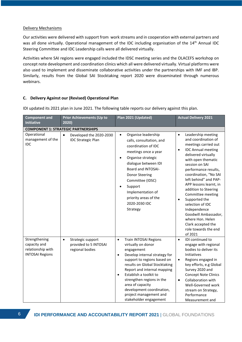#### Delivery Mechanisms

Our activities were delivered with support from work streams and in cooperation with external partners and was all done virtually. Operational management of the IDC including organisation of the 14<sup>th</sup> Annual IDC Steering Committee and IDC Leadership calls were all delivered virtually.

Activities where SAI regions were engaged included the IDSC meeting series and the OLACEFS workshop on concept note development and coordination clinics which all were delivered virtually. Virtual platforms were also used to implement and disseminate collaborative activities under the partnerships with IMF and IBP. Similarly, results from the Global SAI Stocktaking report 2020 were disseminated through numerous webinars.

# **C. Delivery Against our (Revised) Operational Plan**

| <b>Component and</b><br><b>Initiative</b>                                    | <b>Prior Achievements (Up to</b><br>2020)                                  | Plan 2021 (Updated)                                                                                                                                                                                                                                                                                                                                                                          | <b>Actual Delivery 2021</b>                                                                                                                                                                                                                                                                                                                                                                                                                                                                                     |  |  |  |  |  |  |
|------------------------------------------------------------------------------|----------------------------------------------------------------------------|----------------------------------------------------------------------------------------------------------------------------------------------------------------------------------------------------------------------------------------------------------------------------------------------------------------------------------------------------------------------------------------------|-----------------------------------------------------------------------------------------------------------------------------------------------------------------------------------------------------------------------------------------------------------------------------------------------------------------------------------------------------------------------------------------------------------------------------------------------------------------------------------------------------------------|--|--|--|--|--|--|
| <b>COMPONENT 1: STRATEGIC PARTNERSHIPS</b>                                   |                                                                            |                                                                                                                                                                                                                                                                                                                                                                                              |                                                                                                                                                                                                                                                                                                                                                                                                                                                                                                                 |  |  |  |  |  |  |
| Operational<br>management of the<br>IDC                                      | Developed the 2020-2030<br>$\bullet$<br><b>IDC Strategic Plan</b>          | Organise leadership<br>$\bullet$<br>calls, consultation, and<br>coordination of IDC<br>meetings once a year<br>Organise strategic<br>$\bullet$<br>dialogue between IDI<br>Board and INTOSAI-<br><b>Donor Steering</b><br>Committee (IDSC)<br>Support<br>Implementation of<br>priority areas of the<br>2020-2030 IDC<br>Strategy                                                              | Leadership meeting<br>$\bullet$<br>and coordination of<br>meetings carried out<br><b>IDC Annual meeting</b><br>$\bullet$<br>delivered virtually<br>with open thematic<br>session on SAI<br>performance results,<br>coordination, "No SAI<br>left behind" and PAP-<br>APP lessons learnt, in<br>addition to Steering<br>Committee meeting<br>Supported the<br>$\bullet$<br>selection of IDC<br>Independence<br>Goodwill Ambassador,<br>where Hon. Helen<br>Clark accepted the<br>role towards the end<br>of 2021 |  |  |  |  |  |  |
| Strengthening<br>capacity and<br>relationship with<br><b>INTOSAI Regions</b> | Strategic support<br>$\bullet$<br>provided to 5 INTOSAI<br>regional bodies | Train INTOSAI Regions<br>$\bullet$<br>virtually on donor<br>engagement<br>Develop internal strategy for<br>$\bullet$<br>support to regions based on<br>results on Global Stocktaking<br>Report and internal mapping<br>Establish a toolkit to<br>$\bullet$<br>strengthen regions in the<br>area of capacity<br>development coordination,<br>project management and<br>stakeholder engagement | IDI continued to<br>$\bullet$<br>engage with regional<br>bodies to deliver its<br>Initiatives<br>Regions engaged in<br>$\bullet$<br>key efforts, e.g Global<br>Survey 2020 and<br><b>Concept Note Clinics</b><br>Collaboration with<br>$\bullet$<br>Well-Governed work<br>stream on Strategy,<br>Performance<br>Measurement and                                                                                                                                                                                 |  |  |  |  |  |  |

IDI updated its 2021 plan in June 2021. The following table reports our delivery against this plan.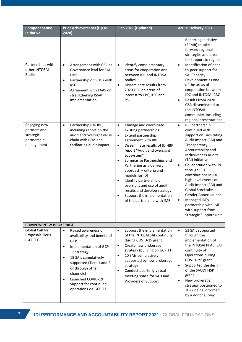| <b>Component and</b><br><b>Initiative</b>                              | <b>Prior Achievements (Up to</b><br>2020)                                                                                                                                                                                                                                                                            | Plan 2021 (Updated)                                                                                                                                                                                                                                                                                                                                                                                                                                                                                          | <b>Actual Delivery 2021</b>                                                                                                                                                                                                                                                                                                                                                                                                                                                                       |
|------------------------------------------------------------------------|----------------------------------------------------------------------------------------------------------------------------------------------------------------------------------------------------------------------------------------------------------------------------------------------------------------------|--------------------------------------------------------------------------------------------------------------------------------------------------------------------------------------------------------------------------------------------------------------------------------------------------------------------------------------------------------------------------------------------------------------------------------------------------------------------------------------------------------------|---------------------------------------------------------------------------------------------------------------------------------------------------------------------------------------------------------------------------------------------------------------------------------------------------------------------------------------------------------------------------------------------------------------------------------------------------------------------------------------------------|
| Partnerships with<br>other INTOSAI<br><b>Bodies</b>                    | Arrangement with CBC as<br>$\bullet$<br>Governance lead for SAI<br><b>PMF</b><br>Partnership on SDGs with<br>$\bullet$<br><b>KSC</b><br>Agreement with FAAS on<br>strengthening ISSAI<br>implementation                                                                                                              | Identify complementary<br>$\bullet$<br>areas for cooperation and<br>between IDC and INTOSAI<br>bodies<br>Disseminate results from<br>$\bullet$<br>2020 GSR on areas of<br>interest to CBC, KSC and<br>PSC.                                                                                                                                                                                                                                                                                                   | Reporting Initiative<br>(SPMR) to take<br>forward regional<br>strategies and areas<br>for support to regions<br>Identification of peer-<br>$\bullet$<br>to-peer support for<br><b>SAI Capacity</b><br>Development as one<br>of the areas of<br>cooperation between<br>IDC and INTOSAI CBC<br>Results from 2020<br>$\bullet$<br><b>GSR</b> disseminated to<br>the INTOSAI<br>community, including                                                                                                  |
| Engaging new<br>partners and<br>strategic<br>partnership<br>management | Partnership IDI- IBP,<br>$\bullet$<br>including report on the<br>audit and oversight value<br>chain with PFM and<br>facilitating audit impact                                                                                                                                                                        | Manage and coordinate<br>$\bullet$<br>existing partnerships<br>Extend partnership<br>$\bullet$<br>agreement with IBP<br>Disseminate results of IDI-IBP<br>$\bullet$<br>report "Audit and oversight<br>ecosystem"<br>Summarise Partnerships and<br>$\bullet$<br>Partnering as a delivery<br>approach - criteria and<br>models for IDI<br>Identify partnership on<br>$\bullet$<br>oversight and use of audit<br>results and develop strategy<br>Support the implementation<br>٠<br>of the partnership with IMF | regional presentations<br>IBP partnership<br>$\bullet$<br>continued with<br>support on Facilitating<br>Audit Impact (FAI) and<br>Transparency,<br>Accountability and<br><b>Inclusiveness Audits</b><br>(TAI) initiative<br>Collaboration with IPU<br>$\bullet$<br>through IPU<br>contributions in IDI<br>high-level events on<br>Audit Impact (FAI) and<br>Global Stocktake<br>Gender Annex Launch<br>Managed IDI's<br>partnership with IMF<br>with support from<br><b>Strategic Support Unit</b> |
| <b>COMPONENT 2: BROKERAGE</b>                                          |                                                                                                                                                                                                                                                                                                                      |                                                                                                                                                                                                                                                                                                                                                                                                                                                                                                              |                                                                                                                                                                                                                                                                                                                                                                                                                                                                                                   |
| Global Call for<br>Proposals Tier 1<br>(GCP T1)                        | Raised awareness of<br>$\bullet$<br>availability and benefit of<br>GCP T1<br>Implementation of GCP<br>$\bullet$<br>T1 strategy<br>15 SAIs cumulatively<br>$\bullet$<br>supported (Tiers 1 and 2<br>or through other<br>channels)<br>Launched COVID-19<br>$\bullet$<br>Support for continued<br>operations via GCP T1 | Support the implementation<br>$\bullet$<br>of the INTOSAI SAI continuity<br>during COVID-19 grant<br>Create new brokerage<br>$\bullet$<br>strategy (building on GCP T1)<br>10 SAIs cumulatively<br>$\bullet$<br>supported by new brokerage<br>strategy<br>Conduct quarterly virtual<br>$\bullet$<br>meeting space for SAIs and<br>Providers of Support                                                                                                                                                       | 53 SAIs supported<br>$\bullet$<br>through the<br>implementation of<br>the INTOSAI PFAC 'SAI<br>continuity of<br>Operations during<br>COVID-19' grant<br>Supported the design<br>$\bullet$<br>of the SAUDI FISP<br>grant<br>New brokerage<br>$\bullet$<br>strategy postponed to<br>2022 being informed<br>by a donor survey                                                                                                                                                                        |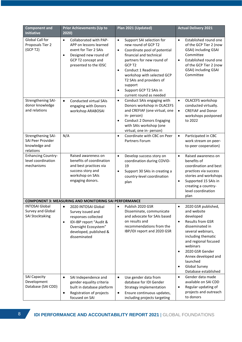| <b>Component and</b><br><b>Initiative</b>                             | Prior Achievements (Up to<br>2020)                                                                                                                                          | Plan 2021 (Updated)                                                                                                                                                                                                                                                                                                                                            | <b>Actual Delivery 2021</b>                                                                                                                                                                                                                                                                                               |
|-----------------------------------------------------------------------|-----------------------------------------------------------------------------------------------------------------------------------------------------------------------------|----------------------------------------------------------------------------------------------------------------------------------------------------------------------------------------------------------------------------------------------------------------------------------------------------------------------------------------------------------------|---------------------------------------------------------------------------------------------------------------------------------------------------------------------------------------------------------------------------------------------------------------------------------------------------------------------------|
| Global Call for<br>Proposals Tier 2<br>(GCP T2)                       | Collaborated with PAP-<br>$\bullet$<br>APP on lessons learned<br>event for Tier 2 SAIs<br>Designed new round of<br>$\bullet$<br>GCP T2 concept and<br>presented to the IDSC | Support SAI selection for<br>$\bullet$<br>new round of GCP T2<br>Coordinate pool of potential<br>$\bullet$<br>financial and technical<br>partners for new round of<br>GCP T2<br><b>Conduct 1 Readiness</b><br>$\bullet$<br>workshop with selected GCP<br>T2 SAIs and providers of<br>support<br>Support GCP T2 SAIs in<br>$\bullet$<br>current round as needed | Established round one<br>$\bullet$<br>of the GCP Tier 2 (now<br>GSAI) including GSAI<br>Committee<br>Established round one<br>$\bullet$<br>of the GCP Tier 2 (now<br>GSAI) including GSAI<br>Committee                                                                                                                    |
| Strengthening SAI-<br>donor knowledge<br>and relations                | $\bullet$<br><b>Conducted virtual SAIs</b><br>engaging with Donors<br>workshop ARABOSAI                                                                                     | Conduct SAIs engaging with<br>$\bullet$<br>Donors workshop in OLACEFS<br>and CREFIAF (one virtual, one<br>in-person)<br><b>Conduct 2 Donors Engaging</b><br>$\bullet$<br>with SAIs workshop (one<br>virtual, one in- person)                                                                                                                                   | $\bullet$<br>OLACEFS workshop<br>conducted virtually.<br><b>CREFIAF and Donor</b><br>$\bullet$<br>workshops postponed<br>to 2022                                                                                                                                                                                          |
| Strengthening SAI-<br>SAI Peer Provider<br>knowledge and<br>relations | N/A                                                                                                                                                                         | Coordinate with CBC on Peer<br>$\bullet$<br>Partners Forum                                                                                                                                                                                                                                                                                                     | Participated in CBC<br>$\bullet$<br>work stream on peer-<br>to-peer cooperation)                                                                                                                                                                                                                                          |
| <b>Enhancing Country-</b><br>level coordination<br>mechanisms         | Raised awareness on<br>benefits of coordination<br>and best practices via<br>success story and<br>workshop on SAIs<br>engaging donors.                                      | Develop success story on<br>$\bullet$<br>coordination during COVID-<br>19<br>Support 30 SAIs in creating a<br>$\bullet$<br>country-level coordination<br>plan                                                                                                                                                                                                  | Raised awareness on<br>$\bullet$<br>benefits of<br>coordination and best<br>practices via success<br>stories and workshops<br>Supported 15 SAIs in<br>$\bullet$<br>creating a country-<br>level coordination<br>plan                                                                                                      |
|                                                                       | <b>COMPONENT 3: MEASURING AND MONITORING SAI PERFORMANCE</b>                                                                                                                |                                                                                                                                                                                                                                                                                                                                                                |                                                                                                                                                                                                                                                                                                                           |
| <b>INTOSAI Global</b><br>Survey and Global<br><b>SAI Stocktaking</b>  | 2020 INTOSAI Global<br>Survey issued and<br>responses collected<br>IDI-IBP report "Audit &<br>$\bullet$<br>Oversight Ecosystem"<br>developed, published &<br>disseminated   | Publish 2020 GSR<br>Disseminate, communicate<br>and advocate for SAIs based<br>on results and<br>recommendations from the<br>IBP/IDI report and 2020 GSR                                                                                                                                                                                                       | 2020 GSR published,<br>and website<br>developed<br><b>Results from GSR</b><br>$\bullet$<br>disseminated in<br>several webinars,<br>including thematic<br>and regional focused<br>webinars<br>2020 GSR Gender<br>$\bullet$<br>Annex developed and<br>launched<br><b>Global Survey</b><br>$\bullet$<br>Database established |
| <b>SAI Capacity</b><br>Development<br>Database (SAI CDD)              | SAI Independence and<br>٠<br>gender equality criteria<br>built in database platform<br>Registration of projects<br>٠<br>focused on SAI                                      | Use gender data from<br>$\bullet$<br>database for IDI Gender<br>Strategy implementation<br>Ensure continuous updates,<br>٠<br>including projects targeting                                                                                                                                                                                                     | Gender data made<br>$\bullet$<br>available on SAI CDD<br>Regular updating of<br>$\bullet$<br>projects and outreach<br>to donors                                                                                                                                                                                           |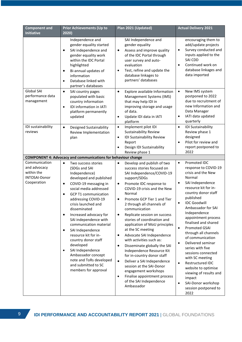| <b>Component and</b><br><b>Initiative</b>                                          | <b>Prior Achievements (Up to</b><br>2020)                                                                                                                                                                                                                                                                                                                                                                                                                                                                                                                                               | Plan 2021 (Updated)                                                                                                                                                                                                                                                                                                                                                                                                                                                                                                                                                                                                                                                                                                                                                                                | <b>Actual Delivery 2021</b>                                                                                                                                                                                                                                                                                                                                                                                                                                                                                                                                                                                                                     |  |  |
|------------------------------------------------------------------------------------|-----------------------------------------------------------------------------------------------------------------------------------------------------------------------------------------------------------------------------------------------------------------------------------------------------------------------------------------------------------------------------------------------------------------------------------------------------------------------------------------------------------------------------------------------------------------------------------------|----------------------------------------------------------------------------------------------------------------------------------------------------------------------------------------------------------------------------------------------------------------------------------------------------------------------------------------------------------------------------------------------------------------------------------------------------------------------------------------------------------------------------------------------------------------------------------------------------------------------------------------------------------------------------------------------------------------------------------------------------------------------------------------------------|-------------------------------------------------------------------------------------------------------------------------------------------------------------------------------------------------------------------------------------------------------------------------------------------------------------------------------------------------------------------------------------------------------------------------------------------------------------------------------------------------------------------------------------------------------------------------------------------------------------------------------------------------|--|--|
|                                                                                    | Independence and<br>gender equality started<br>SAI independence and<br>$\bullet$<br>gender equality work<br>within the IDC Portal<br>highlighted<br>Bi-annual updates of<br>$\bullet$<br>information<br>Database linked with<br>$\bullet$<br>partner's databases                                                                                                                                                                                                                                                                                                                        | SAI Independence and<br>gender equality<br>Assess and improve quality<br>$\bullet$<br>of the IDC Portal through<br>user survey and auto-<br>evaluation<br>Test, refine and update the<br>$\bullet$<br>database linkages to<br>partners' databases                                                                                                                                                                                                                                                                                                                                                                                                                                                                                                                                                  | encouraging them to<br>add/update projects<br>Survey conducted and<br>$\bullet$<br>inputs applied to the<br>SAI CDD<br>Continued work on<br>$\bullet$<br>database linkages and<br>data imported                                                                                                                                                                                                                                                                                                                                                                                                                                                 |  |  |
| Global SAI<br>performance data<br>management                                       | SAI country pages<br>$\bullet$<br>populated with basic<br>country information<br>IDI information in IATI<br>$\bullet$<br>platform permanently<br>updated                                                                                                                                                                                                                                                                                                                                                                                                                                | Explore available Information<br>$\bullet$<br>Management Systems (IMS)<br>that may help IDI in<br>improving storage and usage<br>of data.<br>Update IDI data in IATI<br>$\bullet$<br>platform                                                                                                                                                                                                                                                                                                                                                                                                                                                                                                                                                                                                      | $\bullet$<br>New IMS system<br>postponed to 2022<br>due to recruitment of<br>new Information and<br>Data Manager<br>IATI data updated<br>$\bullet$<br>quarterly                                                                                                                                                                                                                                                                                                                                                                                                                                                                                 |  |  |
| IDI sustainability<br>reviews                                                      | <b>Designed Sustainability</b><br>$\bullet$<br>Review Implementation<br>plan                                                                                                                                                                                                                                                                                                                                                                                                                                                                                                            | Implement pilot IDI<br>$\bullet$<br><b>Sustainability Review</b><br>IDI Sustainability Review<br>$\bullet$<br>Report<br>Design IDI Sustainability<br>$\bullet$<br>Review phase 1                                                                                                                                                                                                                                                                                                                                                                                                                                                                                                                                                                                                                   | IDI Sustainability<br>$\bullet$<br>Review phase 1<br>designed<br>Pilot for review and<br>$\bullet$<br>report postponed to<br>2022                                                                                                                                                                                                                                                                                                                                                                                                                                                                                                               |  |  |
|                                                                                    | <b>COMPONENT 4: Advocacy and communications for behaviour change</b>                                                                                                                                                                                                                                                                                                                                                                                                                                                                                                                    |                                                                                                                                                                                                                                                                                                                                                                                                                                                                                                                                                                                                                                                                                                                                                                                                    |                                                                                                                                                                                                                                                                                                                                                                                                                                                                                                                                                                                                                                                 |  |  |
| Communication<br>and advocacy<br>within the<br><b>INTOSAI-Donor</b><br>Cooperation | $\bullet$<br>Two success stories<br>(SDGs and SAI<br>Independence)<br>developed and published<br>COVID-19 messaging in<br>$\bullet$<br>social media addressed<br><b>GCP T1 communication</b><br>$\bullet$<br>addressing COVID-19<br>crisis launched and<br>disseminated<br>Increased advocacy for<br>$\bullet$<br>SAI independence with<br>communication material<br>SAI Independence<br>٠<br>resource kit for in-<br>country donor staff<br>developed<br>SAI Independence<br>$\bullet$<br>Ambassador concept<br>note and ToRs developed<br>and submitted to SC<br>members for approval | Develop and publish of two<br>$\bullet$<br>success stories focused on<br>SAI Independence/COVID-19<br>support/SDGs<br>Promote IDC response to<br>$\bullet$<br>COVID-19 crisis and the New<br>Normal<br>Promote GCP Tier 1 and Tier<br>$\bullet$<br>2 through all channels of<br>communication<br>Replicate session on success<br>$\bullet$<br>stories of coordination and<br>application of MoU principles<br>at the SC meeting<br>Advocate SAI Independence<br>$\bullet$<br>with activities such as:<br>Disseminate globally the SAI<br>$\bullet$<br>Independence Resource Kit<br>for in-country donor staff<br>Deliver a SAI Independence<br>$\bullet$<br>session at the SAI-Donor<br>engagement workshops<br>Finalise appointment process<br>$\bullet$<br>of the SAI Independence<br>Ambassador | $\bullet$<br>Promoted IDC<br>response to COVID-19<br>crisis and the New<br>Normal<br>SAI Independence<br>$\bullet$<br>resource kit for in-<br>country donor staff<br>published<br><b>IDC Goodwill</b><br>$\bullet$<br>Ambassador for SAI<br>Independence<br>appointment process<br>finalised and shared<br>Promoted GSAI<br>$\bullet$<br>through all channels<br>of communication<br>Delivered seminar<br>$\bullet$<br>series with five<br>sessions connected<br>with SC meeting<br>Restructured IDC<br>$\bullet$<br>website to optimise<br>viewing of results and<br>impact<br>SAI-Donor workshop<br>$\bullet$<br>session postponed to<br>2022 |  |  |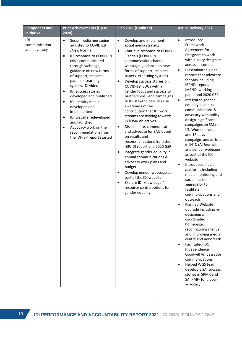| <b>Component and</b><br><b>Initiative</b> | <b>Prior Achievements (Up to</b><br>2020)                                                                                                                                                                                                                                                                                                                                                                                                                                                                               | Plan 2021 (Updated)                                                                                                                                                                                                                                                                                                                                                                                                                                                                                                                                                                                                                                                                                                                                                                                                                                                                                                                                              | <b>Actual Delivery 2021</b>                                                                                                                                                                                                                                                                                                                                                                                                                                                                                                                                                                                                                                                                                                                                                                                                                                                                                                                                                                                                                                                                                                      |
|-------------------------------------------|-------------------------------------------------------------------------------------------------------------------------------------------------------------------------------------------------------------------------------------------------------------------------------------------------------------------------------------------------------------------------------------------------------------------------------------------------------------------------------------------------------------------------|------------------------------------------------------------------------------------------------------------------------------------------------------------------------------------------------------------------------------------------------------------------------------------------------------------------------------------------------------------------------------------------------------------------------------------------------------------------------------------------------------------------------------------------------------------------------------------------------------------------------------------------------------------------------------------------------------------------------------------------------------------------------------------------------------------------------------------------------------------------------------------------------------------------------------------------------------------------|----------------------------------------------------------------------------------------------------------------------------------------------------------------------------------------------------------------------------------------------------------------------------------------------------------------------------------------------------------------------------------------------------------------------------------------------------------------------------------------------------------------------------------------------------------------------------------------------------------------------------------------------------------------------------------------------------------------------------------------------------------------------------------------------------------------------------------------------------------------------------------------------------------------------------------------------------------------------------------------------------------------------------------------------------------------------------------------------------------------------------------|
| IDI<br>communication<br>and advocacy      | Social media messaging<br>$\bullet$<br>adjusted to COVID-19<br>/New Normal<br>IDI response to COVID-19<br>٠<br>crisis communicated<br>through webpage,<br>guidance on new forms<br>of support, research<br>papers, eLearning<br>system, IDI video<br>IDI success stories<br>٠<br>developed and published<br>IDI identity manual<br>$\bullet$<br>developed and<br>implemented<br>IDI website redeveloped<br>٠<br>and launched<br>Advocacy work on the<br>$\bullet$<br>recommendations from<br>the IDI-IBP report started | $\bullet$<br>Develop and implement<br>social media strategy<br>Continue response to COVID-<br>$\bullet$<br>19 crisis (COVID-19<br>communication channel -<br>webpage, guidance on new<br>forms of support, research<br>papers, eLearning system)<br>Develop success stories on<br>$\bullet$<br>COVID-19, SDGs with a<br>gender focus and successful<br>partnerships Send campaigns<br>to IDI stakeholders to raise<br>awareness of the<br>contribution that IDI work<br>streams are making towards<br><b>INTOSAI</b> objectives<br>Disseminate, communicate<br>$\bullet$<br>and advocate for SAIs based<br>on results and<br>recommendations from the<br>IBP/IDI report and 2020 GSR<br>Integrate gender equality in<br>$\bullet$<br>annual communications &<br>advocacy work plans and<br>budget<br>Develop gender webpage as<br>$\bullet$<br>part of the IDI website<br>Explore IDI knowledge /<br>$\bullet$<br>resource centre options for<br>gender equality | Introduced<br>$\bullet$<br>Framework<br>Agreement for<br>Designers to work<br>with quality designers<br>across all comms<br>Disseminated global<br>$\bullet$<br>reports that advocate<br>for SAIs including<br>IBP/IDI report,<br>IMF/IDI working<br>paper and 2020 GSR<br>Integrated gender<br>$\bullet$<br>equality in annual<br>communications &<br>advocacy with policy<br>design, significant<br>campaigns on SM re<br>UN Women events<br>and 16 days<br>campaign, and articles<br>in INTOSAI Journal,<br>and gender webpage<br>as part of the IDI<br>website<br>Introduced media<br>$\bullet$<br>platforms including<br>media monitoring and<br>social media<br>aggregator to<br>facilitate<br>communications and<br>outreach<br>Planned Website<br>$\bullet$<br>upgrade including re-<br>designing a<br>coordinated<br>homepage,<br>reconfiguring menus<br>and improving media<br>centre and newsfeeds<br><b>Facilitated IDC</b><br>$\bullet$<br>Independence<br>Goodwill Ambassador<br>communications<br>Helped WGS team<br>$\bullet$<br>develop 6 SAI success<br>stories in SPMR and<br>SAI PMF- for global<br>advocacy |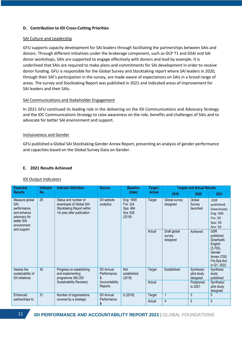# **D. Contribution to IDI Cross-Cutting Priorities**

# SAI Culture and Leadership

GFU supports capacity development for SAI leaders through facilitating the partnerships between SAIs and donors. Through different initiatives under the brokerage component, such as GCP T1 and GSAI and SAI donor workshops, SAIs are supported to engage effectively with donors and lead by example. It is underlined that SAIs are required to make plans and commitments for SAI development in order to receive donor funding. GFU is responsible for the Global Survey and Stocktaking report where SAI leaders in 2020, through their SAI's participation in the survey, are made aware of expectations on SAIs in a broad range of areas. The survey and Stocktaking Report was published in 2021 and indicated areas of improvement for SAI leaders and their SAIs.

# SAI Communications and Stakeholder Engagement

In 2021 GFU continued its leading role in the delivering on the IDI Communications and Advocacy Strategy and the IDC Communications Strategy to raise awareness on the role, benefits and challenges of SAIs and to advocate for better SAI environment and support.

## Inclusiveness and Gender

GFU published a Global SAI Stocktaking Gender Annex Report, presenting an analysis of gender performance and capacities based on the Global Survey Data on Gender.

# **E. 2021 Results Achieved**

## IDI Output Indicators

| <b>Expected</b>                                                                                                       | <b>Indicator</b>                                                   | <b>Indicator Definition</b>                                                                                | <b>Source</b>                         | <b>Baseline</b>                                         | Target /    | <b>Targets and Actual Results</b>     |                                        |                                                                                                                           |
|-----------------------------------------------------------------------------------------------------------------------|--------------------------------------------------------------------|------------------------------------------------------------------------------------------------------------|---------------------------------------|---------------------------------------------------------|-------------|---------------------------------------|----------------------------------------|---------------------------------------------------------------------------------------------------------------------------|
| <b>Results</b><br>No.                                                                                                 | (Date)                                                             | Actual                                                                                                     | 2019                                  | 2020                                                    | 2021        |                                       |                                        |                                                                                                                           |
| 29<br>Measure global<br>SAI<br>performance<br>and enhance<br>advocacy for<br>better SAI<br>environment<br>and support |                                                                    | Status and number of<br>downloads of Global SAI<br>Stocktaking Report within<br>1st year after publication | <b>IDI</b> website<br>analytics       | Eng: 1808<br>Fre: 324<br>Spa: 484<br>Ara: 528<br>(2018) | Target      | Global survey<br>designed             | Global<br>Survey<br>launched           | <b>GSR</b><br>published.<br>Downloads:<br>Eng: 500<br>Fre: 50<br>Spa: 50<br>Ara: 50                                       |
|                                                                                                                       |                                                                    |                                                                                                            |                                       |                                                         | Actual      | Draft global<br>survey<br>designed    | Achieved                               | <b>GSR</b><br>published.<br>Downloafs:<br>English<br>$(5,700)$ ,<br>Gender<br>Annex (700)<br>Fre, Spa, Ara<br>in Q1, 2022 |
| 30<br>Assess the<br>sustainability of<br><b>IDI</b> initiatives                                                       | Progress on establishing<br>and implementing<br>programme 360 (IDI | <b>IDI</b> Annual<br>Performance<br>&                                                                      | <b>Not</b><br>established<br>(2018)   | Target                                                  | Established | Synthesis/<br>pilot study<br>designed | <b>Synthesis</b><br>study<br>published |                                                                                                                           |
|                                                                                                                       |                                                                    | <b>Sustainability Reviews)</b>                                                                             | Accountability<br>Reports             |                                                         | Actual      |                                       | Postponed<br>to 2021                   | Synthesis/<br>pilot study<br>designed                                                                                     |
| Enhanced                                                                                                              | 31                                                                 | Number of organisations                                                                                    | <b>IDI</b> Annual<br>Performance<br>& | 0(2018)                                                 | Target      | $\mathbf 1$                           | 3                                      | 5                                                                                                                         |
| partnerships to                                                                                                       | covered by a strategic                                             |                                                                                                            |                                       |                                                         | Actual      | $\overline{4}$                        | 5                                      | 5                                                                                                                         |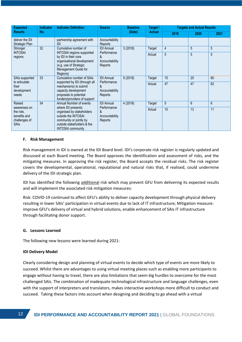| <b>Expected</b><br><b>Results</b>                                                                                                                                                                                                                                                         | <b>Indicator</b>                                                                                                                                                | <b>Indicator Definition</b>                   | <b>Source</b>             | <b>Baseline</b><br>(Date) | Target /<br><b>Actual</b> | <b>Targets and Actual Results</b> |      |      |
|-------------------------------------------------------------------------------------------------------------------------------------------------------------------------------------------------------------------------------------------------------------------------------------------|-----------------------------------------------------------------------------------------------------------------------------------------------------------------|-----------------------------------------------|---------------------------|---------------------------|---------------------------|-----------------------------------|------|------|
|                                                                                                                                                                                                                                                                                           | No.                                                                                                                                                             |                                               |                           |                           |                           | 2019                              | 2020 | 2021 |
| deliver the IDI<br>Strategic Plan                                                                                                                                                                                                                                                         |                                                                                                                                                                 | partnership agreement with<br>IDI             | Accountability<br>Reports |                           |                           |                                   |      |      |
| Stronger                                                                                                                                                                                                                                                                                  | 32                                                                                                                                                              | Cumulative number of                          | <b>IDI</b> Annual         | 3(2018)                   | Target                    | $\overline{4}$                    | 5    | 5    |
| regions                                                                                                                                                                                                                                                                                   | <b>INTOSAI</b><br>INTOSAI regions supported<br>by IDI in their core<br>organisational development<br>(e.g. use of Strategic<br>Management Guide for<br>Regions) | Performance<br>&<br>Accountability<br>Reports |                           | Actual                    | 5                         | 5                                 | 5    |      |
| 33<br>SAIs supported<br>to articulate<br>their<br>development<br>needs                                                                                                                                                                                                                    | Cumulative number of SAIs<br><b>IDI</b> Annual                                                                                                                  | 9(2018)                                       | Target                    | 15                        | 20                        | 60                                |      |      |
|                                                                                                                                                                                                                                                                                           | supported by IDI (through all<br>mechanisms) to submit<br>capacity development<br>proposals to potential<br>funders/providers of support                        | Performance<br>&<br>Accountability<br>Reports |                           | Actual                    | 47                        | 47                                | 62   |      |
| Raised<br>34<br>Annual Number of events<br>where IDI presents;<br>awareness on<br>organised by stakeholders<br>&<br>the role,<br>outside the INTOSAI<br>benefits and<br>challenges of<br>community or jointly by<br><b>SAIs</b><br>outside stakeholders & the<br><b>INTOSAI</b> community | <b>IDI</b> Annual                                                                                                                                               | 4 (2018)                                      | Target                    | 5                         | 6                         | 6                                 |      |      |
|                                                                                                                                                                                                                                                                                           |                                                                                                                                                                 | Performance<br>Accountability<br>Reports      |                           | Actual                    | 10                        | 13                                | 11   |      |

## **F. Risk Management**

Risk management in IDI is owned at the IDI Board level. IDI's corporate risk register is regularly updated and discussed at each Board meeting. The Board approves the identification and assessment of risks, and the mitigating measures. In approving the risk register, the Board accepts the residual risks. The risk register covers the developmental, operational, reputational and natural risks that, if realised, could undermine delivery of the IDI strategic plan.

IDI has identified the following additional risk which may prevent GFU from delivering its expected results and will implement the associated risk mitigation measures:

Risk: COVID-19 continued to affect GFU's ability to deliver capacity development through physical delivery resulting in lower SAIs' participation in virtual events due to lack of IT infrastructure; Mitigation measure: improve GFU's delivery of virtual and hybrid solutions, enable enhancement of SAIs IT infrastructure through facilitating donor support.

## **G. Lessons Learned**

The following new lessons were learned during 2021:

## **IDI Delivery Model**

Clearly considering design and planning of virtual events to decide which type of events are more likely to succeed. Whilst there are advantages to using virtual meeting places such as enabling more participants to engage without having to travel, there are also limitations that seem big hurdles to overcome for the most challenged SAIs. The combination of inadequate technological infrastructure and language challenges, even with the support of interpreters and translators, makes interactive workshops more difficult to conduct and succeed. Taking these factors into account when designing and deciding to go ahead with a virtual